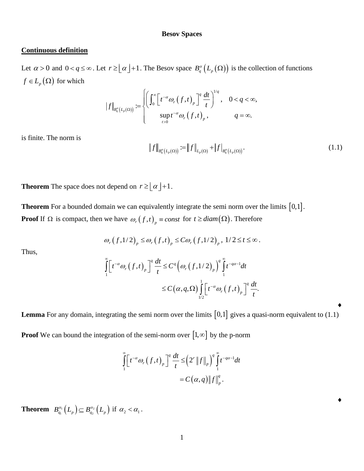## **Besov Spaces**

## **Continuous definition**

Let  $\alpha > 0$  and  $0 < q \le \infty$ . Let  $r \ge \lfloor \alpha \rfloor + 1$ . The Besov space  $B_q^{\alpha} (L_p(\Omega))$  is the collection of functions  $f \in L_p(\Omega)$  for which

$$
\left|f\right|_{B^{\alpha}_{q}\left(L_{p}(\Omega)\right)}:=\begin{cases}\left(\int_{0}^{\infty}\left[t^{-\alpha}\omega_{r}\left(f,t\right)_{p}\right]^{q}\frac{dt}{t}\right)^{1/q}, & 0 < q < \infty, \\ \sup_{t>0}t^{-\alpha}\omega_{r}\left(f,t\right)_{p}, & q = \infty.\end{cases}
$$

is finite. The norm is

$$
||f||_{B_q^{\alpha}(L_p(\Omega))} := ||f||_{L_p(\Omega)} + |f|_{B_q^{\alpha}(L_p(\Omega))}.
$$
\n(1.1)

**Theorem** The space does not depend on  $r \geq \lfloor \alpha \rfloor + 1$ .

**Theorem** For a bounded domain we can equivalently integrate the semi norm over the limits  $[0,1]$ . **Proof** If  $\Omega$  is compact, then we have  $\omega_r(f,t)_p \equiv const$  for  $t \geq diam(\Omega)$ . Therefore

$$
\omega_r(f,1/2)_p \leq \omega_r(f,t)_p \leq C \omega_r(f,1/2)_p, 1/2 \leq t \leq \infty.
$$

Thus,

$$
\omega_r(f,1/2)_p \leq \omega_r(f,t)_p \leq C\omega_r(f,1/2)_p, 1/2 \leq t \leq \infty.
$$
  

$$
\int_{1}^{\infty} \left[t^{-\alpha} \omega_r(f,t)_p\right]^q \frac{dt}{t} \leq C^q \left(\omega_r(f,1/2)_p\right)^q \int_{1}^{\infty} t^{-q\alpha-1} dt
$$
  

$$
\leq C\left(\alpha,q,\Omega\right) \int_{1/2}^1 \left[t^{-\alpha} \omega_r(f,t)_p\right]^q \frac{dt}{t}.
$$

**Lemma** For any domain, integrating the semi norm over the limits  $[0,1]$  gives a quasi-norm equivalent to  $(1.1)$ 

**Proof** We can bound the integration of the semi-norm over  $\begin{bmatrix} 1, \infty \end{bmatrix}$  by the p-norm

$$
\int_{1}^{\infty} \left[ t^{-\alpha} \omega_r \left( f, t \right)_p \right]^q \frac{dt}{t} \leq \left( 2^r \left\| f \right\|_p \right)^q \int_{1}^{\infty} t^{-q\alpha - 1} dt
$$
  
=  $C(\alpha, q) \left\| f \right\|_p^q$ .

**Theorem**  $B_{a_1}^{\alpha_1}(L_p) \subseteq B_{a_2}^{\alpha_2}(L_p)$  $B_{q_1}^{\alpha_1}(L_p) \subseteq B_{q_2}^{\alpha_2}(L_p)$  if  $\alpha_2 < \alpha_1$ .  $\blacklozenge$ 

 $\blacklozenge$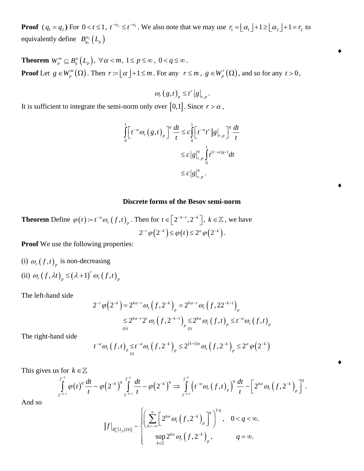**Proof**  $(q_1 = q_2)$  For  $0 < t \le 1$ ,  $t^{-\alpha_2} \le t^{-\alpha_1}$ . We also note that we may use  $r_1 = \lfloor \alpha_1 \rfloor + 1 \ge \lfloor \alpha_2 \rfloor + 1 = r_2$  to equivalently define  $B^{\alpha_2}_{q_2}(L_p)$  $B_{q_2}^{\alpha_2}\bigl(L_{_p}$ 

**Theorem**  $W_p^m \subseteq B_q^{\alpha} (L_p)$ ,  $\forall \alpha < m, 1 \le p \le \infty$ ,  $0 < q \le \infty$ . **Proof** Let  $g \in W_n^m(\Omega)$  $g \in W_p^m(\Omega)$ . Then  $r := \lfloor \alpha \rfloor + 1 \le m$ . For any  $r \le m$ ,  $g \in W_p^r(\Omega)$  $g \in W_p^r(\Omega)$ , and so for any  $t > 0$ ,

> $(g,t)_p \le t^r |g|_{r, r}$  $\omega_r(g,t)_p \leq t^r |g|_{r,p}$ .

 $\triangle$ 

 $\blacklozenge$ 

 $\blacklozenge$ 

It is sufficient to integrate the semi-norm only over [0,1]. Since  $r > \alpha$ ,

$$
\int_{0}^{1} \left[ t^{-\alpha} \omega_r \left( g, t \right)_p \right]^q \frac{dt}{t} \leq c \int_{0}^{1} \left[ t^{-\alpha} t^r \left| g \right|_{r, p} \right]^q \frac{dt}{t}
$$
  

$$
\leq c \left| g \right|_{r, p}^q \int_{0}^{1} t^{(r-\alpha)q-1} dt
$$
  

$$
\leq c \left| g \right|_{r, p}^q.
$$

## **Discrete forms of the Besov semi-norm**

**Theorem** Define  $\varphi(t) := t^{-\alpha} \omega_r(f,t)$ , Then for  $t \in \left[2^{-k-1}, 2^{-k}\right]$ ,  $k \in \mathbb{Z}$ , we have  $2^{-r}\varphi\left(2^{-k}\right) \leq \varphi\left(t\right) \leq 2^{\alpha}\varphi\left(2^{-k}\right).$ 

**Proof** We use the following properties:

(i) 
$$
\omega_r(f,t)_p
$$
 is non-decreasing  
(ii)  $\omega_r(f,\lambda t)_p \le (\lambda+1)^r \omega_r(f,t)_p$ 

The left-hand side

$$
2^{-r}\varphi\left(2^{-k}\right) = 2^{k\alpha-r}\omega_r\left(f,2^{-k}\right)_p = 2^{k\alpha-r}\omega_r\left(f,22^{-k-1}\right)_p
$$
  
\$\leq 2^{k\alpha-r}2^r\omega\_r\left(f,2^{-k-1}\right)\_p \leq 2^{k\alpha}\omega\_r\left(f,t\right)\_p \leq t^{-\alpha}\omega\_r\left(f,t\right)\_p\$

The right-hand side

(ii)  

$$
t^{-\alpha} \omega_r (f,t)_p \le t^{-\alpha} \omega_r (f,2^{-k})_p \le 2^{(k+1)\alpha} \omega_r (f,2^{-k})_p \le 2^{\alpha} \varphi (2^{-k})
$$

This gives us for  $k \in$ 

$$
t^{-\alpha} \omega_r(f,t)_p \leq t^{-\alpha} \omega_r(f,2^{-k})_p \leq 2^{(k+1)\alpha} \omega_r(f,2^{-k})_p \leq 2^{\alpha} \varphi(2^{-k})
$$
  
s for  $k \in \mathbb{Z}$   

$$
\int_{2^{-k-1}}^{2^{-k}} \varphi(t)^q \frac{dt}{t} \sim \varphi(2^{-k})^q \int_{2^{-k-1}}^{2^{-k}} \frac{dt}{t} \sim \varphi(2^{-k})^q \Rightarrow \int_{2^{-k-1}}^{2^{-k}} \left(t^{-\alpha} \omega_r(f,t)_p\right)^q \frac{dt}{t} \sim \left[2^{k\alpha} \omega_r(f,2^{-k})_p\right]^q.
$$

And so

$$
\left|f\right|_{B_q^{\alpha}(L_p(\Omega))} \sim \begin{cases} \left(\sum_{k=-\infty}^{\infty} \left[2^{k\alpha} \omega_r\left(f,2^{-k}\right)_p\right]^{q}\right)^{1/q}, & 0 < q < \infty, \\ \sup_{k \in \mathbb{Z}} 2^{k\alpha} \omega_r\left(f,2^{-k}\right)_p, & q = \infty. \end{cases}
$$